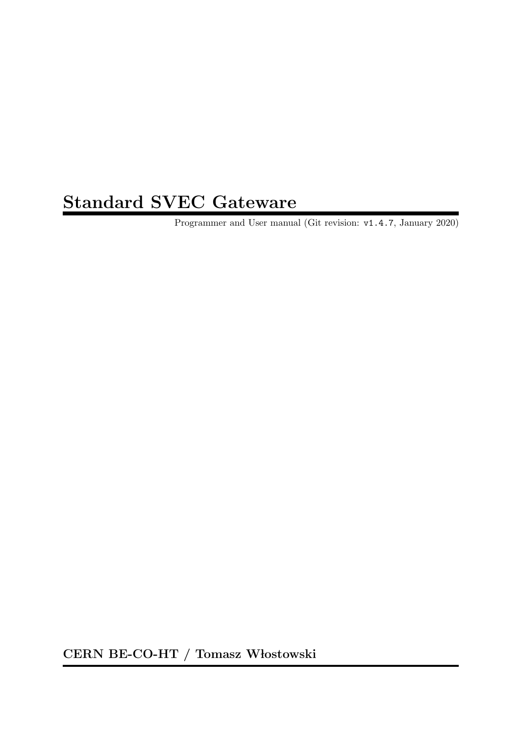# Standard SVEC Gateware

Programmer and User manual (Git revision: v1.4.7, January 2020)

CERN BE-CO-HT / Tomasz Włostowski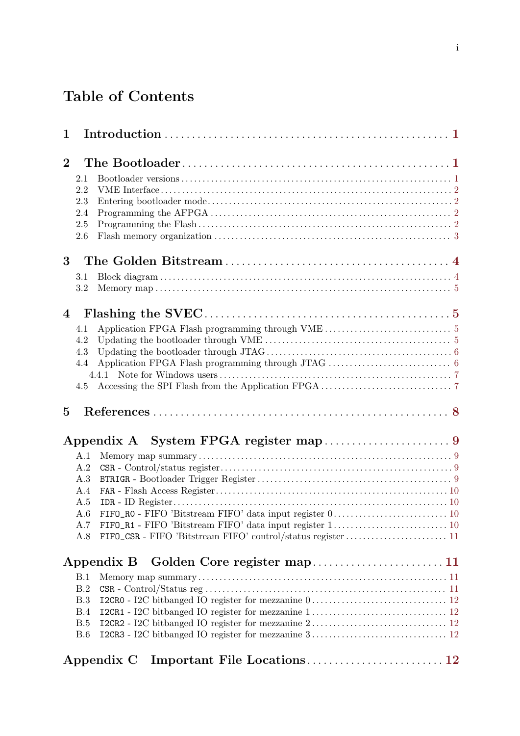# Table of Contents

| 1              |            |                                                                                                                  |  |
|----------------|------------|------------------------------------------------------------------------------------------------------------------|--|
| $\overline{2}$ |            |                                                                                                                  |  |
|                |            |                                                                                                                  |  |
|                | 2.1<br>2.2 |                                                                                                                  |  |
|                | 2.3        |                                                                                                                  |  |
|                | 2.4        |                                                                                                                  |  |
|                | 2.5        |                                                                                                                  |  |
|                | 2.6        |                                                                                                                  |  |
| 3              |            |                                                                                                                  |  |
|                | 3.1        |                                                                                                                  |  |
|                | 3.2        |                                                                                                                  |  |
| $\overline{4}$ |            |                                                                                                                  |  |
|                | 4.1        | Application FPGA Flash programming through VME $\ldots\ldots\ldots\ldots\ldots\ldots\ldots\ldots\ldots\ldots\,5$ |  |
|                | 4.2        |                                                                                                                  |  |
|                | 4.3        |                                                                                                                  |  |
|                | 4.4        |                                                                                                                  |  |
|                |            |                                                                                                                  |  |
|                | 4.5        |                                                                                                                  |  |
| $\overline{5}$ |            |                                                                                                                  |  |
|                |            |                                                                                                                  |  |
|                | A.1        |                                                                                                                  |  |
|                | A.2        |                                                                                                                  |  |
|                | A.3        |                                                                                                                  |  |
|                | A.4        |                                                                                                                  |  |
|                | A.5        |                                                                                                                  |  |
|                | A.6        |                                                                                                                  |  |
|                | A.7        |                                                                                                                  |  |
|                | A.8        |                                                                                                                  |  |
|                |            | Appendix B                                                                                                       |  |
|                | B.1        |                                                                                                                  |  |
|                | B.2        |                                                                                                                  |  |
|                | B.3        |                                                                                                                  |  |
|                | B.4        |                                                                                                                  |  |
|                | B.5        |                                                                                                                  |  |
|                | B.6        |                                                                                                                  |  |
|                |            | Appendix C                                                                                                       |  |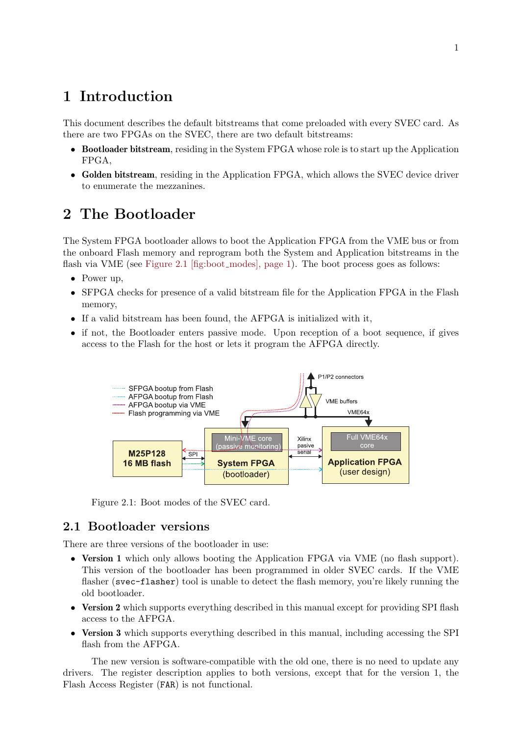## <span id="page-2-0"></span>1 Introduction

This document describes the default bitstreams that come preloaded with every SVEC card. As there are two FPGAs on the SVEC, there are two default bitstreams:

- Bootloader bitstream, residing in the System FPGA whose role is to start up the Application FPGA,
- Golden bitstream, residing in the Application FPGA, which allows the SVEC device driver to enumerate the mezzanines.

## 2 The Bootloader

The System FPGA bootloader allows to boot the Application FPGA from the VME bus or from the onboard Flash memory and reprogram both the System and Application bitstreams in the flash via VME (see [Figure 2.1 \[fig:boot](#page-2-1) modes], page 1). The boot process goes as follows:

- Power up,
- SFPGA checks for presence of a valid bitstream file for the Application FPGA in the Flash memory,
- If a valid bitstream has been found, the AFPGA is initialized with it,
- <span id="page-2-1"></span>• if not, the Bootloader enters passive mode. Upon reception of a boot sequence, if gives access to the Flash for the host or lets it program the AFPGA directly.



Figure 2.1: Boot modes of the SVEC card.

## 2.1 Bootloader versions

There are three versions of the bootloader in use:

- Version 1 which only allows booting the Application FPGA via VME (no flash support). This version of the bootloader has been programmed in older SVEC cards. If the VME flasher (svec-flasher) tool is unable to detect the flash memory, you're likely running the old bootloader.
- Version 2 which supports everything described in this manual except for providing SPI flash access to the AFPGA.
- Version 3 which supports everything described in this manual, including accessing the SPI flash from the AFPGA.

The new version is software-compatible with the old one, there is no need to update any drivers. The register description applies to both versions, except that for the version 1, the Flash Access Register (FAR) is not functional.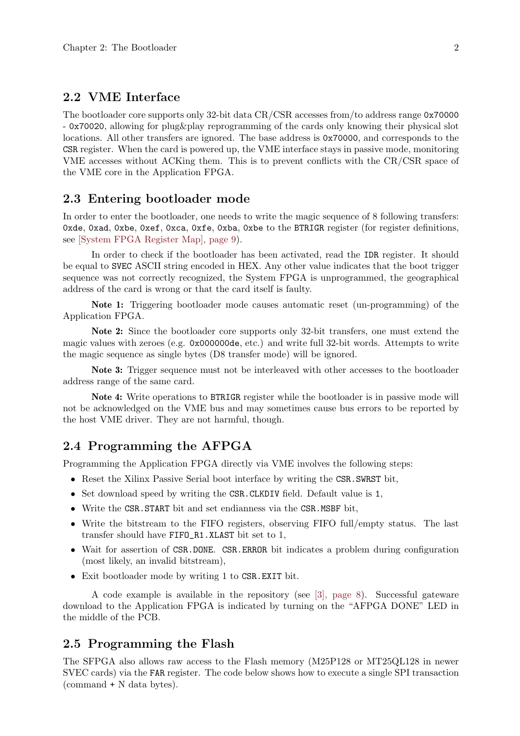### <span id="page-3-0"></span>2.2 VME Interface

The bootloader core supports only 32-bit data CR/CSR accesses from/to address range 0x70000 - 0x70020, allowing for plug&play reprogramming of the cards only knowing their physical slot locations. All other transfers are ignored. The base address is 0x70000, and corresponds to the CSR register. When the card is powered up, the VME interface stays in passive mode, monitoring VME accesses without ACKing them. This is to prevent conflicts with the CR/CSR space of the VME core in the Application FPGA.

### 2.3 Entering bootloader mode

In order to enter the bootloader, one needs to write the magic sequence of 8 following transfers: 0xde, 0xad, 0xbe, 0xef, 0xca, 0xfe, 0xba, 0xbe to the BTRIGR register (for register definitions, see [\[System FPGA Register Map\], page 9](#page-10-1)).

In order to check if the bootloader has been activated, read the IDR register. It should be equal to SVEC ASCII string encoded in HEX. Any other value indicates that the boot trigger sequence was not correctly recognized, the System FPGA is unprogrammed, the geographical address of the card is wrong or that the card itself is faulty.

Note 1: Triggering bootloader mode causes automatic reset (un-programming) of the Application FPGA.

Note 2: Since the bootloader core supports only 32-bit transfers, one must extend the magic values with zeroes (e.g. 0x000000de, etc.) and write full 32-bit words. Attempts to write the magic sequence as single bytes (D8 transfer mode) will be ignored.

Note 3: Trigger sequence must not be interleaved with other accesses to the bootloader address range of the same card.

Note 4: Write operations to BTRIGR register while the bootloader is in passive mode will not be acknowledged on the VME bus and may sometimes cause bus errors to be reported by the host VME driver. They are not harmful, though.

### 2.4 Programming the AFPGA

Programming the Application FPGA directly via VME involves the following steps:

- Reset the Xilinx Passive Serial boot interface by writing the CSR.SWRST bit,
- Set download speed by writing the CSR.CLKDIV field. Default value is 1,
- Write the CSR.START bit and set endianness via the CSR.MSBF bit,
- Write the bitstream to the FIFO registers, observing FIFO full/empty status. The last transfer should have FIFO\_R1.XLAST bit set to 1,
- Wait for assertion of CSR.DONE. CSR.ERROR bit indicates a problem during configuration (most likely, an invalid bitstream),
- Exit bootloader mode by writing 1 to CSR.EXIT bit.

A code example is available in the repository (see [\[3\], page 8](#page-9-1)). Successful gateware download to the Application FPGA is indicated by turning on the "AFPGA DONE" LED in the middle of the PCB.

### 2.5 Programming the Flash

The SFPGA also allows raw access to the Flash memory (M25P128 or MT25QL128 in newer SVEC cards) via the FAR register. The code below shows how to execute a single SPI transaction (command + N data bytes).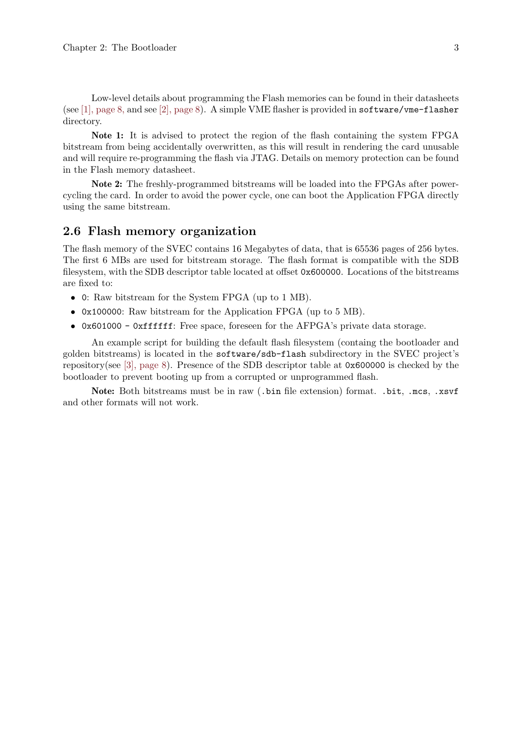<span id="page-4-0"></span>Low-level details about programming the Flash memories can be found in their datasheets (see [\[1\], page 8,](#page-9-2) and see [\[2\], page 8](#page-9-3)). A simple VME flasher is provided in software/vme-flasher directory.

Note 1: It is advised to protect the region of the flash containing the system FPGA bitstream from being accidentally overwritten, as this will result in rendering the card unusable and will require re-programming the flash via JTAG. Details on memory protection can be found in the Flash memory datasheet.

Note 2: The freshly-programmed bitstreams will be loaded into the FPGAs after powercycling the card. In order to avoid the power cycle, one can boot the Application FPGA directly using the same bitstream.

#### 2.6 Flash memory organization

The flash memory of the SVEC contains 16 Megabytes of data, that is 65536 pages of 256 bytes. The first 6 MBs are used for bitstream storage. The flash format is compatible with the SDB filesystem, with the SDB descriptor table located at offset 0x600000. Locations of the bitstreams are fixed to:

- 0: Raw bitstream for the System FPGA (up to 1 MB).
- 0x100000: Raw bitstream for the Application FPGA (up to 5 MB).
- 0x601000 0xffffff: Free space, foreseen for the AFPGA's private data storage.

An example script for building the default flash filesystem (containg the bootloader and golden bitstreams) is located in the software/sdb-flash subdirectory in the SVEC project's repository(see [\[3\], page 8\)](#page-9-1). Presence of the SDB descriptor table at 0x600000 is checked by the bootloader to prevent booting up from a corrupted or unprogrammed flash.

Note: Both bitstreams must be in raw (.bin file extension) format. .bit, .mcs, .xsvf and other formats will not work.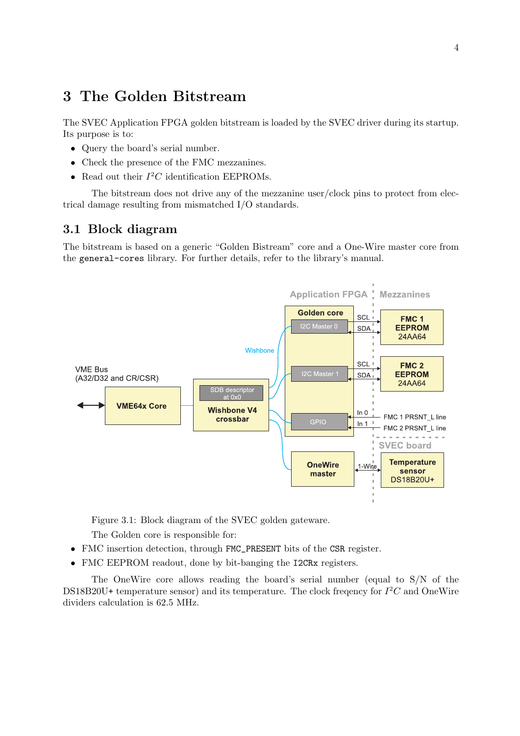## <span id="page-5-0"></span>3 The Golden Bitstream

The SVEC Application FPGA golden bitstream is loaded by the SVEC driver during its startup. Its purpose is to:

- Query the board's serial number.
- Check the presence of the FMC mezzanines.
- Read out their  $I^2C$  identification EEPROMs.

The bitstream does not drive any of the mezzanine user/clock pins to protect from electrical damage resulting from mismatched I/O standards.

### 3.1 Block diagram

The bitstream is based on a generic "Golden Bistream" core and a One-Wire master core from the general-cores library. For further details, refer to the library's manual.



Figure 3.1: Block diagram of the SVEC golden gateware.

The Golden core is responsible for:

- FMC insertion detection, through FMC\_PRESENT bits of the CSR register.
- FMC EEPROM readout, done by bit-banging the I2CRx registers.

The OneWire core allows reading the board's serial number (equal to S/N of the DS18B20U+ temperature sensor) and its temperature. The clock freqency for  $I^2C$  and OneWire dividers calculation is 62.5 MHz.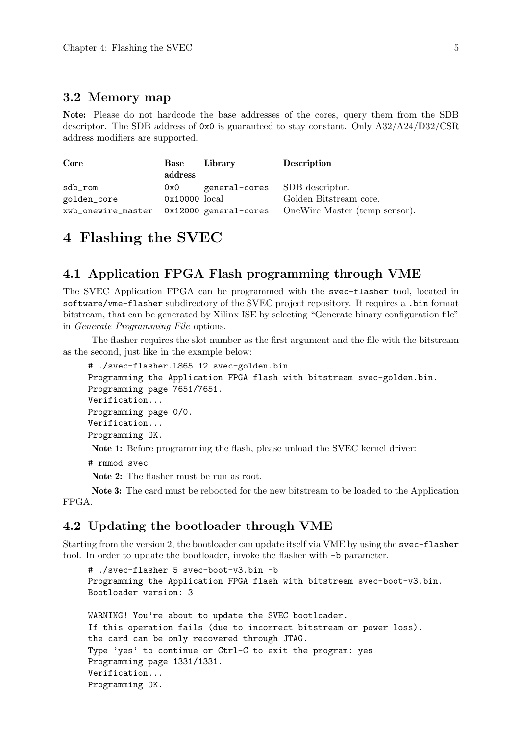### <span id="page-6-0"></span>3.2 Memory map

Note: Please do not hardcode the base addresses of the cores, query them from the SDB descriptor. The SDB address of 0x0 is guaranteed to stay constant. Only A32/A24/D32/CSR address modifiers are supported.

| Core        | Base<br>address | Library                       | Description                                                            |
|-------------|-----------------|-------------------------------|------------------------------------------------------------------------|
| sdb_rom     | 0x0             | general-cores SDB descriptor. |                                                                        |
| golden_core | 0x10000 local   |                               | Golden Bitstream core.                                                 |
|             |                 |                               | xwb_onewire_master 0x12000 general-cores OneWire Master (temp sensor). |

## 4 Flashing the SVEC

### 4.1 Application FPGA Flash programming through VME

The SVEC Application FPGA can be programmed with the svec-flasher tool, located in software/vme-flasher subdirectory of the SVEC project repository. It requires a .bin format bitstream, that can be generated by Xilinx ISE by selecting "Generate binary configuration file" in Generate Programming File options.

The flasher requires the slot number as the first argument and the file with the bitstream as the second, just like in the example below:

```
# ./svec-flasher.L865 12 svec-golden.bin
Programming the Application FPGA flash with bitstream svec-golden.bin.
Programming page 7651/7651.
Verification...
Programming page 0/0.
Verification...
Programming OK.
Note 1: Before programming the flash, please unload the SVEC kernel driver:
```
# rmmod svec

Note 2: The flasher must be run as root.

Note 3: The card must be rebooted for the new bitstream to be loaded to the Application FPGA.

### 4.2 Updating the bootloader through VME

Starting from the version 2, the bootloader can update itself via VME by using the svec-flasher tool. In order to update the bootloader, invoke the flasher with -b parameter.

```
# ./svec-flasher 5 svec-boot-v3.bin -b
Programming the Application FPGA flash with bitstream svec-boot-v3.bin.
Bootloader version: 3
WARNING! You're about to update the SVEC bootloader.
If this operation fails (due to incorrect bitstream or power loss),
the card can be only recovered through JTAG.
Type 'yes' to continue or Ctrl-C to exit the program: yes
Programming page 1331/1331.
Verification...
Programming OK.
```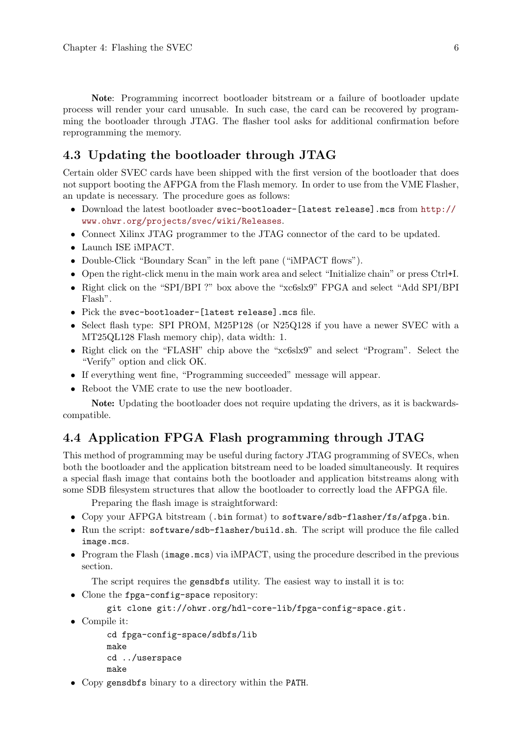<span id="page-7-0"></span>Note: Programming incorrect bootloader bitstream or a failure of bootloader update process will render your card unusable. In such case, the card can be recovered by programming the bootloader through JTAG. The flasher tool asks for additional confirmation before reprogramming the memory.

## 4.3 Updating the bootloader through JTAG

Certain older SVEC cards have been shipped with the first version of the bootloader that does not support booting the AFPGA from the Flash memory. In order to use from the VME Flasher, an update is necessary. The procedure goes as follows:

- Download the latest bootloader svec-bootloader-[latest release].mcs from [http://](http://www.ohwr.org/projects/svec/wiki/Releases) [www.ohwr.org/projects/svec/wiki/Releases](http://www.ohwr.org/projects/svec/wiki/Releases).
- Connect Xilinx JTAG programmer to the JTAG connector of the card to be updated.
- Launch ISE iMPACT.
- Double-Click "Boundary Scan" in the left pane ("iMPACT flows").
- Open the right-click menu in the main work area and select "Initialize chain" or press Ctrl+I.
- Right click on the "SPI/BPI ?" box above the "xc6slx9" FPGA and select "Add SPI/BPI Flash".
- Pick the svec-bootloader-[latest release].mcs file.
- Select flash type: SPI PROM, M25P128 (or N25Q128 if you have a newer SVEC with a MT25QL128 Flash memory chip), data width: 1.
- Right click on the "FLASH" chip above the "xc6slx9" and select "Program". Select the "Verify" option and click OK.
- If everything went fine, "Programming succeeded" message will appear.
- Reboot the VME crate to use the new bootloader.

Note: Updating the bootloader does not require updating the drivers, as it is backwardscompatible.

## 4.4 Application FPGA Flash programming through JTAG

This method of programming may be useful during factory JTAG programming of SVECs, when both the bootloader and the application bitstream need to be loaded simultaneously. It requires a special flash image that contains both the bootloader and application bitstreams along with some SDB filesystem structures that allow the bootloader to correctly load the AFPGA file.

Preparing the flash image is straightforward:

- Copy your AFPGA bitstream (.bin format) to software/sdb-flasher/fs/afpga.bin.
- Run the script: software/sdb-flasher/build.sh. The script will produce the file called image.mcs.
- Program the Flash (image.mcs) via iMPACT, using the procedure described in the previous section.

The script requires the gensdbfs utility. The easiest way to install it is to:

• Clone the fpga-config-space repository:

```
git clone git://ohwr.org/hdl-core-lib/fpga-config-space.git.
```
• Compile it:

```
cd fpga-config-space/sdbfs/lib
make
cd ../userspace
make
```
• Copy gensdbfs binary to a directory within the PATH.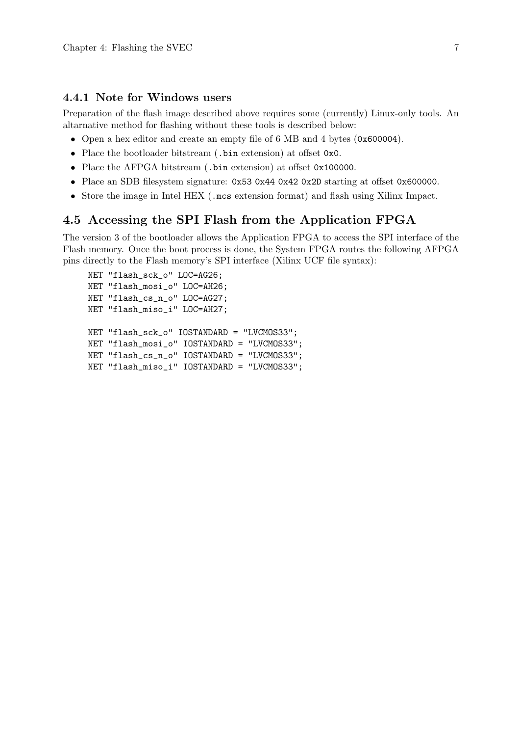#### <span id="page-8-0"></span>4.4.1 Note for Windows users

Preparation of the flash image described above requires some (currently) Linux-only tools. An altarnative method for flashing without these tools is described below:

- Open a hex editor and create an empty file of 6 MB and 4 bytes (0x600004).
- Place the bootloader bitstream (.bin extension) at offset 0x0.
- Place the AFPGA bitstream (.bin extension) at offset 0x100000.
- Place an SDB filesystem signature: 0x53 0x44 0x42 0x2D starting at offset 0x600000.
- Store the image in Intel HEX (.mcs extension format) and flash using Xilinx Impact.

### 4.5 Accessing the SPI Flash from the Application FPGA

The version 3 of the bootloader allows the Application FPGA to access the SPI interface of the Flash memory. Once the boot process is done, the System FPGA routes the following AFPGA pins directly to the Flash memory's SPI interface (Xilinx UCF file syntax):

```
NET "flash_sck_o" LOC=AG26;
NET "flash_mosi_o" LOC=AH26;
NET "flash_cs_n_o" LOC=AG27;
NET "flash_miso_i" LOC=AH27;
NET "flash_sck_o" IOSTANDARD = "LVCMOS33";
NET "flash_mosi_o" IOSTANDARD = "LVCMOS33";
NET "flash_cs_n_o" IOSTANDARD = "LVCMOS33";
NET "flash_miso_i" IOSTANDARD = "LVCMOS33";
```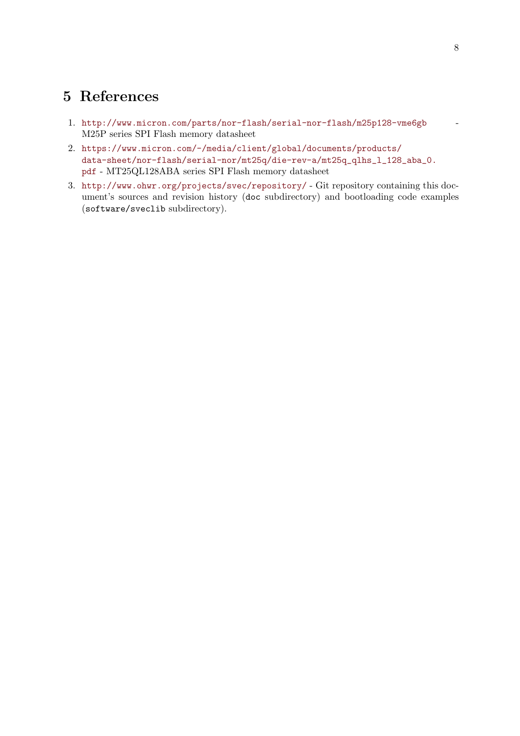## <span id="page-9-0"></span>5 References

- <span id="page-9-2"></span>1. <http://www.micron.com/parts/nor-flash/serial-nor-flash/m25p128-vme6gb> - M25P series SPI Flash memory datasheet
- <span id="page-9-3"></span>2. [https://www.micron.com/-/media/client/global/documents/products/](https://www.micron.com/-/media/client/global/documents/products/data-sheet/nor-flash/serial-nor/mt25q/die-rev-a/mt25q_qlhs_l_128_aba_0.pdf) [data-sheet/nor-flash/serial-nor/mt25q/die-rev-a/mt25q\\_qlhs\\_l\\_128\\_aba\\_0.](https://www.micron.com/-/media/client/global/documents/products/data-sheet/nor-flash/serial-nor/mt25q/die-rev-a/mt25q_qlhs_l_128_aba_0.pdf) [pdf](https://www.micron.com/-/media/client/global/documents/products/data-sheet/nor-flash/serial-nor/mt25q/die-rev-a/mt25q_qlhs_l_128_aba_0.pdf) - MT25QL128ABA series SPI Flash memory datasheet
- <span id="page-9-1"></span>3. <http://www.ohwr.org/projects/svec/repository/> - Git repository containing this document's sources and revision history (doc subdirectory) and bootloading code examples (software/sveclib subdirectory).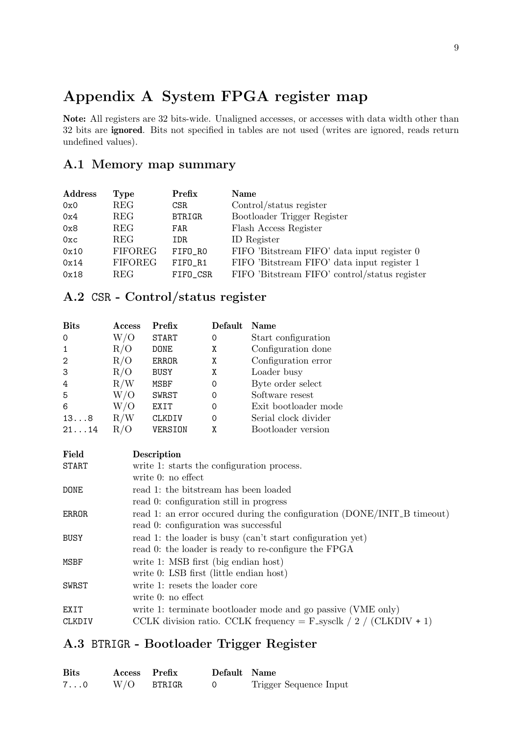# <span id="page-10-0"></span>Appendix A System FPGA register map

Note: All registers are 32 bits-wide. Unaligned accesses, or accesses with data width other than 32 bits are ignored. Bits not specified in tables are not used (writes are ignored, reads return undefined values).

## <span id="page-10-1"></span>A.1 Memory map summary

| <b>Address</b> | Type           | Prefix        | Name                                          |
|----------------|----------------|---------------|-----------------------------------------------|
| 0x0            | REG            | CSR.          | Control/status register                       |
| 0x4            | REG            | <b>BTRIGR</b> | Bootloader Trigger Register                   |
| 0x8            | <b>REG</b>     | FAR           | Flash Access Register                         |
| 0xc            | <b>REG</b>     | IDR           | ID Register                                   |
| 0x10           | <b>FIFOREG</b> | FIFO_RO       | FIFO 'Bitstream FIFO' data input register 0   |
| 0x14           | <b>FIFOREG</b> | FIFO_R1       | FIFO 'Bitstream FIFO' data input register 1   |
| 0x18           | REG            | FIFO_CSR      | FIFO 'Bitstream FIFO' control/status register |

## A.2 CSR - Control/status register

| <b>Bits</b>    | <b>Access</b> | Prefix       | Default | <b>Name</b>          |
|----------------|---------------|--------------|---------|----------------------|
| $\Omega$       | W/O           | <b>START</b> | 0       | Start configuration  |
|                | R/O           | <b>DONE</b>  | Χ       | Configuration done   |
| $\overline{2}$ | R/O           | ERROR        | Χ       | Configuration error  |
| 3              | R/O           | <b>BUSY</b>  | Χ       | Loader busy          |
| 4              | R/W           | MSBF         | 0       | Byte order select    |
| 5              | W/O           | <b>SWRST</b> | 0       | Software resest      |
| 6              | W/O           | EXIT         | 0       | Exit bootloader mode |
| 138            | R/W           | CLKDIV       | 0       | Serial clock divider |
| 2114           | R/O           | VERSION      | χ       | Bootloader version   |

| Field       | Description                                                             |
|-------------|-------------------------------------------------------------------------|
| START       | write 1: starts the configuration process.                              |
|             | write $0:$ no effect                                                    |
| <b>DONE</b> | read 1: the bitstream has been loaded                                   |
|             | read 0: configuration still in progress                                 |
| ERROR       | read 1: an error occured during the configuration (DONE/INIT_B timeout) |
|             | read 0: configuration was successful                                    |
| BUSY        | read 1: the loader is busy (can't start configuration yet)              |
|             | read 0: the loader is ready to re-configure the FPGA                    |
| MSBF        | write 1: MSB first (big endian host)                                    |
|             | write 0: LSB first (little endian host)                                 |
| SWRST       | write 1: resets the loader core                                         |
|             | write $0:$ no effect                                                    |
| EXIT        | write 1: terminate bootloader mode and go passive (VME only)            |
| CLKDIV      | CCLK division ratio. CCLK frequency = $F$ -sysclk $/ 2 / (CLKDIV + 1)$  |

## A.3 BTRIGR - Bootloader Trigger Register

| <b>Bits</b>  | Access Prefix |        | Default Name |                        |
|--------------|---------------|--------|--------------|------------------------|
| $7 \ldots 0$ | W/O           | BTRIGR |              | Trigger Sequence Input |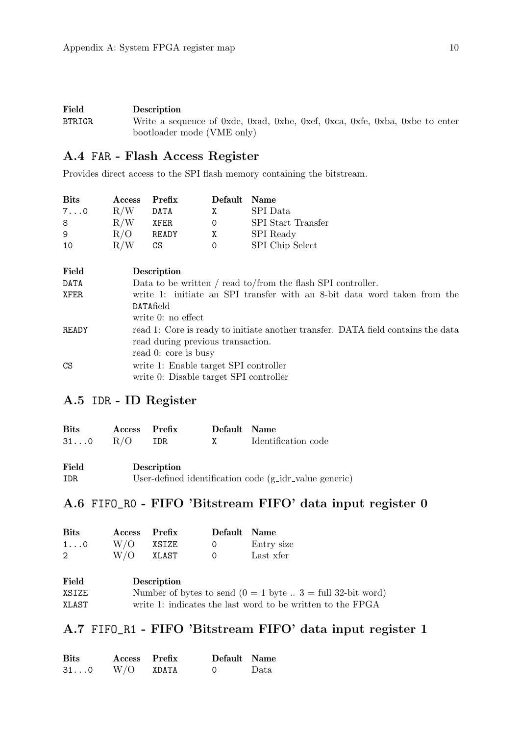<span id="page-11-0"></span>

| Field         | <b>Description</b>                                                          |
|---------------|-----------------------------------------------------------------------------|
| <b>BTRIGR</b> | Write a sequence of 0xde, 0xad, 0xbe, 0xef, 0xca, 0xfe, 0xba, 0xbe to enter |
|               | bootloader mode (VME only)                                                  |

## A.4 FAR - Flash Access Register

Provides direct access to the SPI flash memory containing the bitstream.

| <b>Bits</b>  | Access Prefix |       | Default Name |                           |
|--------------|---------------|-------|--------------|---------------------------|
| $7 \ldots 0$ | R/W           | DATA  | X            | SPI Data                  |
| 8            | R/W           | XFER  | 0            | <b>SPI</b> Start Transfer |
| 9            | R/O           | READY | X            | SPI Ready                 |
| 10           | R/W           | CS.   | 0            | SPI Chip Select           |

| Field | <b>Description</b>                                                                                                                            |
|-------|-----------------------------------------------------------------------------------------------------------------------------------------------|
| DATA  | Data to be written / read to/from the flash SPI controller.                                                                                   |
| XFER  | write 1: initiate an SPI transfer with an 8-bit data word taken from the<br><b>DATAfield</b><br>write $0:$ no effect                          |
| READY | read 1: Core is ready to initiate another transfer. DATA field contains the data<br>read during previous transaction.<br>read 0: core is busy |
| CS    | write 1: Enable target SPI controller<br>write 0: Disable target SPI controller                                                               |

## A.5 IDR - ID Register

| Bits      | Access Prefix |                    | Default Name                                                                                                                                                                                                                                                                                     |                     |
|-----------|---------------|--------------------|--------------------------------------------------------------------------------------------------------------------------------------------------------------------------------------------------------------------------------------------------------------------------------------------------|---------------------|
| $310$ R/O |               | IDR.               | $\mathbf{X}$ and $\mathbf{X}$ and $\mathbf{X}$ and $\mathbf{X}$ are $\mathbf{X}$ and $\mathbf{X}$ and $\mathbf{X}$ are $\mathbf{X}$ and $\mathbf{X}$ are $\mathbf{X}$ and $\mathbf{X}$ are $\mathbf{X}$ and $\mathbf{X}$ are $\mathbf{X}$ and $\mathbf{X}$ are $\mathbf{X}$ and $\mathbf{X}$ are | Identification code |
| Field     |               | <b>Description</b> |                                                                                                                                                                                                                                                                                                  |                     |

#### IDR User-defined identification code (g idr value generic)

## A.6 FIFO\_R0 - FIFO 'Bitstream FIFO' data input register 0

| <b>Bits</b>  | Access Prefix |       | Default Name |            |
|--------------|---------------|-------|--------------|------------|
| $1 \ldots 0$ | $W/O$ XSIZE   |       | $\bigcap$    | Entry size |
| 2            | W/O           | XLAST | $\Omega$     | Last xfer  |

| Field | Description                                                          |
|-------|----------------------------------------------------------------------|
| XSIZE | Number of bytes to send $(0 = 1$ byte $\ldots$ 3 = full 32-bit word) |
| XLAST | write 1: indicates the last word to be written to the FPGA           |

## A.7 FIFO\_R1 - FIFO 'Bitstream FIFO' data input register 1

| <b>Bits</b>   | Access Prefix |       | Default Name |      |
|---------------|---------------|-------|--------------|------|
| $31 \ldots 0$ | W/O           | XDATA | - 0          | Data |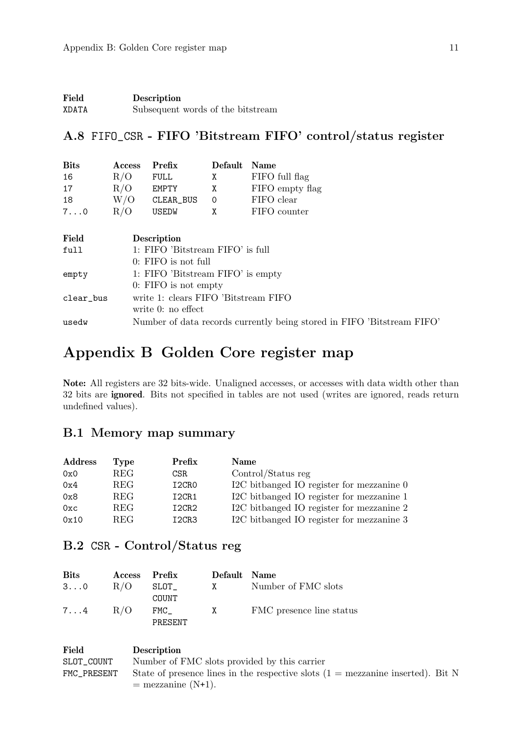<span id="page-12-0"></span>

| Field | Description                       |
|-------|-----------------------------------|
| XDATA | Subsequent words of the bitstream |

## A.8 FIFO\_CSR - FIFO 'Bitstream FIFO' control/status register

| <b>Bits</b>  | Access                            | Prefix                               | Default | <b>Name</b>     |  |
|--------------|-----------------------------------|--------------------------------------|---------|-----------------|--|
| 16           | R/O                               | <b>FULL</b>                          | Χ       | FIFO full flag  |  |
| 17           | R/O                               | <b>EMPTY</b>                         | Χ       | FIFO empty flag |  |
| 18           | W/O                               | CLEAR_BUS                            | 0       | FIFO clear      |  |
| $7 \ldots 0$ | R/O                               | <b>USEDW</b>                         | X       | FIFO counter    |  |
|              |                                   |                                      |         |                 |  |
| Field        |                                   | Description                          |         |                 |  |
| full         | 1: FIFO 'Bitstream FIFO' is full  |                                      |         |                 |  |
|              | $0:$ FIFO is not full             |                                      |         |                 |  |
| empty        | 1: FIFO 'Bitstream FIFO' is empty |                                      |         |                 |  |
|              |                                   | $0:$ FIFO is not empty               |         |                 |  |
| clear_bus    |                                   | write 1: clears FIFO 'Bitstream FIFO |         |                 |  |
|              |                                   | write 0: no effect                   |         |                 |  |

# Appendix B Golden Core register map

Note: All registers are 32 bits-wide. Unaligned accesses, or accesses with data width other than 32 bits are ignored. Bits not specified in tables are not used (writes are ignored, reads return undefined values).

usedw Number of data records currently being stored in FIFO 'Bitstream FIFO'

## B.1 Memory map summary

| <b>Address</b> | Type       | Prefix                         | <b>Name</b>                               |
|----------------|------------|--------------------------------|-------------------------------------------|
| 0x0            | REG        | CSR.                           | Control/Status reg                        |
| 0x4            | <b>REG</b> | I <sub>2</sub> CRO             | I2C bitbanged IO register for mezzanine 0 |
| 0x8            | <b>REG</b> | I2CR1                          | I2C bitbanged IO register for mezzanine 1 |
| 0xc            | <b>REG</b> | I <sub>2</sub> CR <sub>2</sub> | I2C bitbanged IO register for mezzanine 2 |
| 0x10           | <b>REG</b> | I <sub>2</sub> CR <sub>3</sub> | I2C bitbanged IO register for mezzanine 3 |

## B.2 CSR - Control/Status reg

| <b>Bits</b>  | Access Prefix |                            | Default Name |                          |
|--------------|---------------|----------------------------|--------------|--------------------------|
| $3 \ldots 0$ | R/O           | $\mathtt{SLOT}_-$<br>COUNT | $\mathbf{X}$ | Number of FMC slots      |
| $7 \ldots 4$ | R/O           | FMC<br>PRESENT             | X            | FMC presence line status |

| Field       | <b>Description</b>                                                                        |
|-------------|-------------------------------------------------------------------------------------------|
| SLOT COUNT  | Number of FMC slots provided by this carrier                                              |
| FMC_PRESENT | State of presence lines in the respective slots $(1 = \text{mezzanine inserted})$ . Bit N |
|             | $=$ mezzanine $(N+1)$ .                                                                   |